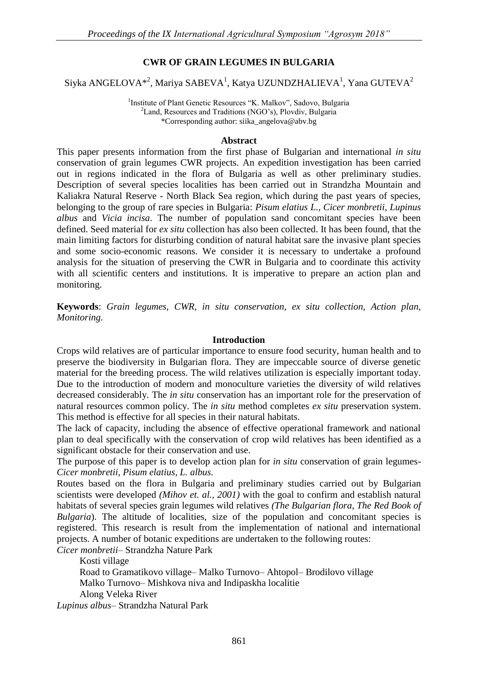# **CWR OF GRAIN LEGUMES IN BULGARIA**

# Siyka ANGELOVA $*^2$ , Mariya SABEVA<sup>1</sup>, Katya UZUNDZHALIEVA<sup>1</sup>, Yana GUTEVA<sup>2</sup>

<sup>1</sup>Institute of Plant Genetic Resources "K. Malkov", Sadovo, Bulgaria <sup>2</sup>Land, Resources and Traditions (NGO's), Plovdiv, Bulgaria \*Corresponding author: siika\_angelova@abv.bg

### **Abstract**

This paper presents information from the first phase of Bulgarian and international *in situ* conservation of grain legumes CWR projects. An expedition investigation has been carried out in regions indicated in the flora of Bulgaria as well as other preliminary studies. Description of several species localities has been carried out in Strandzha Mountain and Kaliakra Natural Reserve - North Black Sea region, which during the past years of species, belonging to the group of rare species in Bulgaria: *Pisum elatius L., Cicer monbretii, Lupinus albus* and *Vicia incisa*. The number of population sand concomitant species have been defined. Seed material for *ex situ* collection has also been collected. It has been found, that the main limiting factors for disturbing condition of natural habitat sare the invasive plant species and some socio-economic reasons. We consider it is necessary to undertake a profound analysis for the situation of preserving the CWR in Bulgaria and to coordinate this activity with all scientific centers and institutions. It is imperative to prepare an action plan and monitoring.

**Keywords**: *Grain legumes, CWR, in situ conservation, ex situ collection, Action plan, Monitoring.*

## **Introduction**

Crops wild relatives are of particular importance to ensure food security, human health and to preserve the biodiversity in Bulgarian flora. They are impeccable source of diverse genetic material for the breeding process. The wild relatives utilization is especially important today. Due to the introduction of modern and monoculture varieties the diversity of wild relatives decreased considerably. The *in situ* conservation has an important role for the preservation of natural resources common policy. The *in situ* method completes *ex situ* preservation system. This method is effective for all species in their natural habitats.

The lack of capacity, including the absence of effective operational framework and national plan to deal specifically with the conservation of crop wild relatives has been identified as a significant obstacle for their conservation and use.

The purpose of this paper is to develop action plan for *in situ* conservation of grain legumes-*Cicer monbretii, Pisum elatius, L. albus.* 

Routes based on the flora in Bulgaria and preliminary studies carried out by Bulgarian scientists were developed *(Mihov et. al., 2001)* with the goal to confirm and establish natural habitats of several species grain legumes wild relatives *(The Bulgarian flora, The Red Book of Bulgaria*). The altitude of localities, size of the population and concomitant species is registered. This research is result from the implementation of national and international projects. A number of botanic expeditions are undertaken to the following routes:

*Cicer monbretii–* Strandzha Nature Park

Kosti village Road to Gramatikovo village– Malko Turnovo– Ahtopol– Brodilovo village Malko Turnovo– Mishkova niva and Indipaskha localitie Along Veleka River *Lupinus albus*– Strandzha Natural Park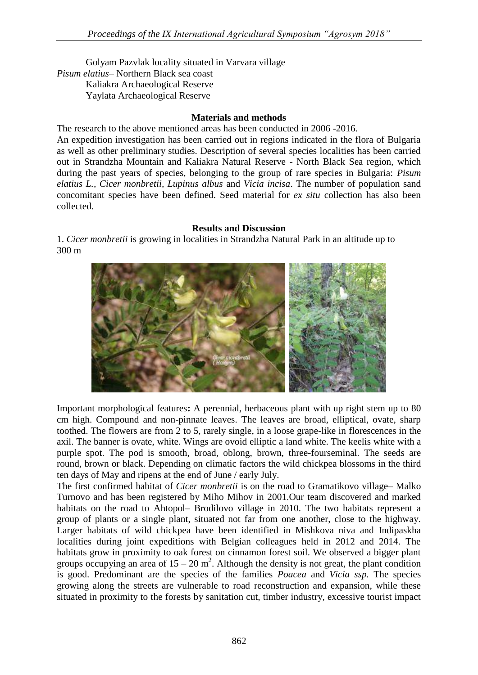Golyam Pazvlak locality situated in Varvara village *Pisum elatius*– Northern Black sea coast Kaliakra Archaeological Reserve Yaylata Archaeological Reserve

## **Materials and methods**

The research to the above mentioned areas has been conducted in 2006 -2016. An expedition investigation has been carried out in regions indicated in the flora of Bulgaria as well as other preliminary studies. Description of several species localities has been carried out in Strandzha Mountain and Kaliakra Natural Reserve - North Black Sea region, which during the past years of species, belonging to the group of rare species in Bulgaria: *Pisum elatius L., Cicer monbretii, Lupinus albus* and *Vicia incisa*. The number of population sand concomitant species have been defined. Seed material for *ex situ* collection has also been collected.

## **Results and Discussion**

1. *Cicer monbretii* is growing in localities in Strandzha Natural Park in an altitude up to 300 m



Important morphological features**:** A perennial, herbaceous plant with up right stem up to 80 cm high. Compound and non-pinnate leaves. The leaves are broad, elliptical, ovate, sharp toothed. The flowers are from 2 to 5, rarely single, in a loose grape-like in florescences in the axil. The banner is ovate, white. Wings are ovoid elliptic a land white. The keelis white with a purple spot. The pod is smooth, broad, oblong, brown, three-fourseminal. The seeds are round, brown or black. Depending on climatic factors the wild chickpea blossoms in the third ten days of May and ripens at the end of June / early July.

The first confirmed habitat of *Cicer monbretii* is on the road to Gramatikovo village– Malko Turnovo and has been registered by Miho Mihov in 2001.Our team discovered and marked habitats on the road to Ahtopol– Brodilovo village in 2010. The two habitats represent a group of plants or a single plant, situated not far from one another, close to the highway. Larger habitats of wild chickpea have been identified in Mishkova niva and Indipaskha localities during joint expeditions with Belgian colleagues held in 2012 and 2014. The habitats grow in proximity to oak forest on cinnamon forest soil. We observed a bigger plant groups occupying an area of  $15 - 20$  m<sup>2</sup>. Although the density is not great, the plant condition is good. Predominant are the species of the families *Poacea* and *Vicia ssp.* The species growing along the streets are vulnerable to road reconstruction and expansion, while these situated in proximity to the forests by sanitation cut, timber industry, excessive tourist impact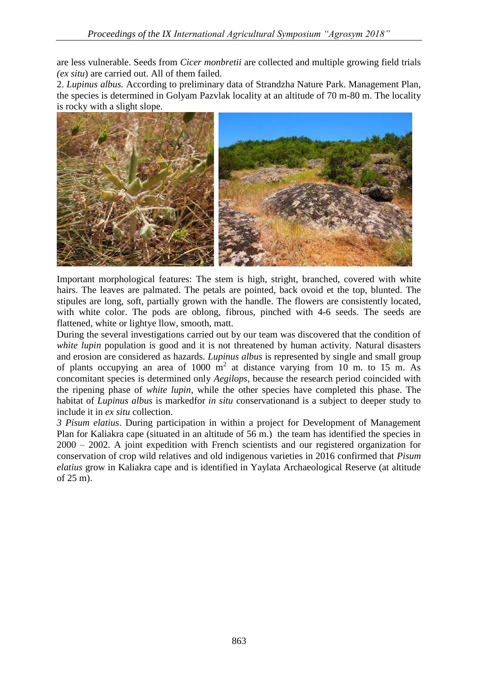are less vulnerable. Seeds from *Cicer monbretii* are collected and multiple growing field trials *(ex situ*) are carried out. All of them failed.

2. *Lupinus albus.* According to preliminary data of Strandzha Nature Park. Management Plan, the species is determined in Golyam Pazvlak locality at an altitude of 70 m-80 m. The locality is rocky with a slight slope.



Important morphological features: The stem is high, stright, branched, covered with white hairs. The leaves are palmated. The petals are pointed, back ovoid et the top, blunted. The stipules are long, soft, partially grown with the handle. The flowers are consistently located, with white color. The pods are oblong, fibrous, pinched with 4-6 seeds. The seeds are flattened, white or lightye llow, smooth, matt.

During the several investigations carried out by our team was discovered that the condition of *white lupin* population is good and it is not threatened by human activity. Natural disasters and erosion are considered as hazards. *Lupinus albus* is represented by single and small group of plants occupying an area of 1000  $\text{m}^2$  at distance varying from 10 m. to 15 m. As concomitant species is determined only *Aegilops,* because the research period coincided with the ripening phase of *white lupin*, while the other species have completed this phase. The habitat of *Lupinus albus* is markedfor *in situ* conservationand is a subject to deeper study to include it in *ex situ* collection.

*3 Pisum elatius*. During participation in within a project for Development of Management Plan for Kaliakra cape (situated in an altitude of 56 m.) the team has identified the species in 2000 – 2002. A joint expedition with French scientists and our registered organization for conservation of crop wild relatives and old indigenous varieties in 2016 confirmed that *Pisum elatius* grow in Kaliakra cape and is identified in Yaylata Archaeological Reserve (at altitude of 25 m).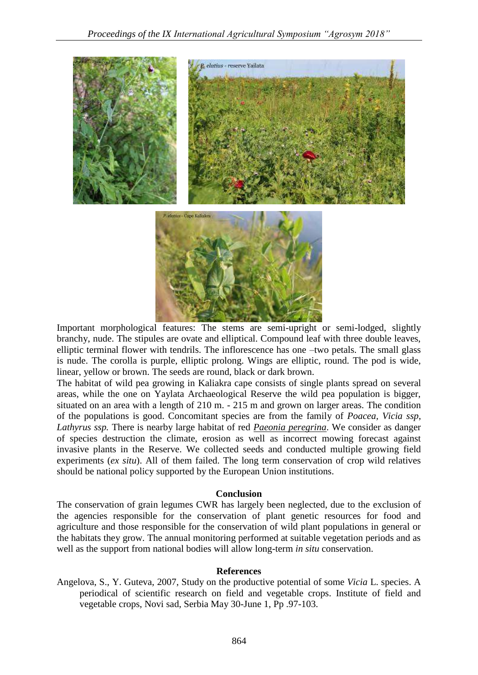

Important morphological features: The stems are semi-upright or semi-lodged, slightly branchy, nude. The stipules are ovate and elliptical. Compound leaf with three double leaves, elliptic terminal flower with tendrils. The inflorescence has one –two petals. The small glass is nude. The corolla is purple, elliptic prolong. Wings are elliptic, round. The pod is wide, linear, yellow or brown. The seeds are round, black or dark brown.

The habitat of wild pea growing in Kaliakra cape consists of single plants spread on several areas, while the one on Yaylata Archaeological Reserve the wild pea population is bigger, situated on an area with a length of 210 m. - 215 m and grown on larger areas. The condition of the populations is good. Concomitant species are from the family of *Poacea, Vicia ssp*, *Lathyrus ssp.* There is nearby large habitat of red *[Paeonia peregrina](https://bg.wikipedia.org/wiki/Paeonia_peregrina)*. We consider as danger of species destruction the climate, erosion as well as incorrect mowing forecast against invasive plants in the Reserve. We collected seeds and conducted multiple growing field experiments (*ex situ*). All of them failed. The long term conservation of crop wild relatives should be national policy supported by the European Union institutions.

### **Conclusion**

The conservation of grain legumes CWR has largely been neglected, due to the exclusion of the agencies responsible for the conservation of plant genetic resources for food and agriculture and those responsible for the conservation of wild plant populations in general or the habitats they grow. The annual monitoring performed at suitable vegetation periods and as well as the support from national bodies will allow long-term *in situ* conservation.

### **References**

Angelova, S., Y. Guteva, 2007, Study on the productive potential of some *Vicia* L. species. A periodical of scientific research on field and vegetable crops. Institute of field and vegetable crops, Novi sad, Serbia May 30-June 1, Pp .97-103.